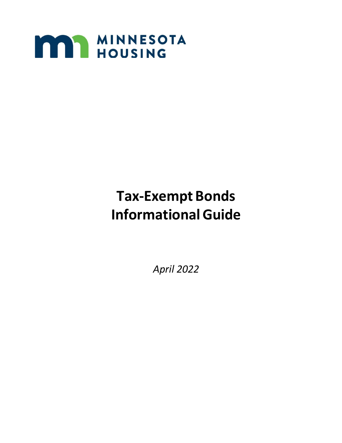

# **Tax-Exempt Bonds InformationalGuide**

*April 2022*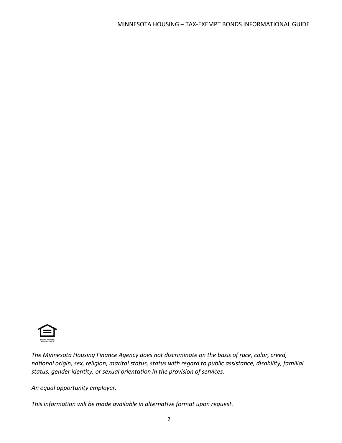

*The Minnesota Housing Finance Agency does not discriminate on the basis of race, color, creed, national origin, sex, religion, marital status, status with regard to public assistance, disability, familial status, gender identity, or sexual orientation in the provision of services.*

*An equal opportunity employer.*

*This information will be made available in alternative format upon request.*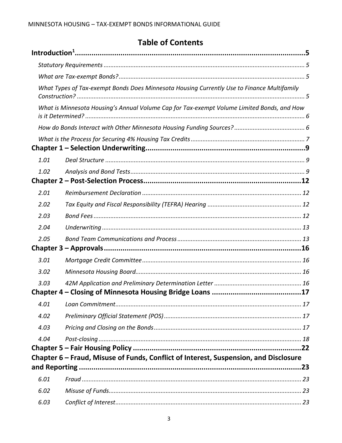# **Table of Contents**

|      | What Types of Tax-exempt Bonds Does Minnesota Housing Currently Use to Finance Multifamily |  |  |
|------|--------------------------------------------------------------------------------------------|--|--|
|      | What is Minnesota Housing's Annual Volume Cap for Tax-exempt Volume Limited Bonds, and How |  |  |
|      |                                                                                            |  |  |
|      |                                                                                            |  |  |
|      |                                                                                            |  |  |
| 1.01 |                                                                                            |  |  |
| 1.02 |                                                                                            |  |  |
| 2.01 |                                                                                            |  |  |
| 2.02 |                                                                                            |  |  |
| 2.03 |                                                                                            |  |  |
| 2.04 |                                                                                            |  |  |
| 2.05 |                                                                                            |  |  |
|      |                                                                                            |  |  |
| 3.01 |                                                                                            |  |  |
| 3.02 |                                                                                            |  |  |
| 3.03 |                                                                                            |  |  |
|      |                                                                                            |  |  |
| 4.01 |                                                                                            |  |  |
| 4.02 |                                                                                            |  |  |
| 4.03 |                                                                                            |  |  |
| 4.04 |                                                                                            |  |  |
|      |                                                                                            |  |  |
|      | Chapter 6 – Fraud, Misuse of Funds, Conflict of Interest, Suspension, and Disclosure       |  |  |
|      |                                                                                            |  |  |
| 6.01 |                                                                                            |  |  |
| 6.02 |                                                                                            |  |  |
| 6.03 |                                                                                            |  |  |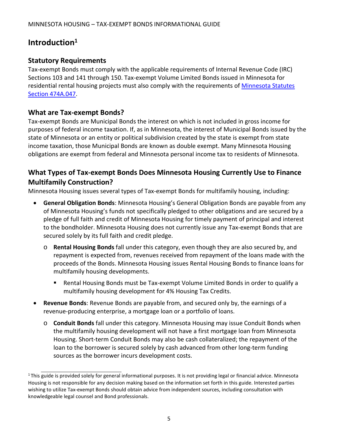# <span id="page-4-0"></span>**Introduction1**

### <span id="page-4-1"></span>**Statutory Requirements**

Tax-exempt Bonds must comply with the applicable requirements of Internal Revenue Code (IRC) Sections 103 and 141 through 150. Tax-exempt Volume Limited Bonds issued in Minnesota for residential rental housing projects must also comply with the requirements of [Minnesota Statutes](https://www.revisor.leg.state.mn.us/statutes/?id=474A.047) [Section 474A.047.](https://www.revisor.leg.state.mn.us/statutes/?id=474A.047)

### <span id="page-4-2"></span>**What are Tax-exempt Bonds?**

Tax-exempt Bonds are Municipal Bonds the interest on which is not included in gross income for purposes of federal income taxation. If, as in Minnesota, the interest of Municipal Bonds issued by the state of Minnesota or an entity or political subdivision created by the state is exempt from state income taxation, those Municipal Bonds are known as double exempt. Many Minnesota Housing obligations are exempt from federal and Minnesota personal income tax to residents of Minnesota.

# <span id="page-4-3"></span>**What Types of Tax-exempt Bonds Does Minnesota Housing Currently Use to Finance Multifamily Construction?**

Minnesota Housing issues several types of Tax-exempt Bonds for multifamily housing, including:

- **General Obligation Bonds**: Minnesota Housing's General Obligation Bonds are payable from any of Minnesota Housing's funds not specifically pledged to other obligations and are secured by a pledge of full faith and credit of Minnesota Housing for timely payment of principal and interest to the bondholder. Minnesota Housing does not currently issue any Tax-exempt Bonds that are secured solely by its full faith and credit pledge.
	- o **Rental Housing Bonds** fall under this category, even though they are also secured by, and repayment is expected from, revenues received from repayment of the loans made with the proceeds of the Bonds. Minnesota Housing issues Rental Housing Bonds to finance loans for multifamily housing developments.
		- Rental Housing Bonds must be Tax-exempt Volume Limited Bonds in order to qualify a multifamily housing development for 4% Housing Tax Credits.
- **Revenue Bonds**: Revenue Bonds are payable from, and secured only by, the earnings of a revenue-producing enterprise, a mortgage loan or a portfolio of loans.
	- o **Conduit Bonds** fall under this category. Minnesota Housing may issue Conduit Bonds when the multifamily housing development will not have a first mortgage loan from Minnesota Housing. Short-term Conduit Bonds may also be cash collateralized; the repayment of the loan to the borrower is secured solely by cash advanced from other long-term funding sources as the borrower incurs development costs.

 $1$ This guide is provided solely for general informational purposes. It is not providing legal or financial advice. Minnesota Housing is not responsible for any decision making based on the information set forth in this guide. Interested parties wishing to utilize Tax-exempt Bonds should obtain advice from independent sources, including consultation with knowledgeable legal counsel and Bond professionals.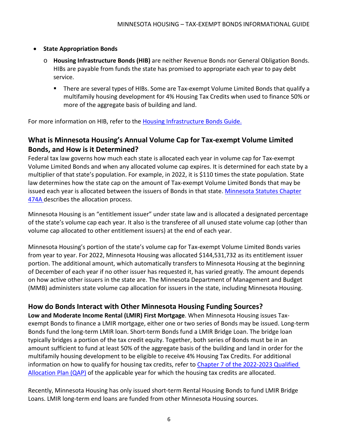#### • **State Appropriation Bonds**

- o **Housing Infrastructure Bonds (HIB)** are neither Revenue Bonds nor General Obligation Bonds. HIBs are payable from funds the state has promised to appropriate each year to pay debt service.
	- There are several types of HIBs. Some are Tax-exempt Volume Limited Bonds that qualify a multifamily housing development for 4% Housing Tax Credits when used to finance 50% or more of the aggregate basis of building and land.

For more information on HIB, refer to the [Housing Infrastructure Bonds Guide.](http://www.mnhousing.gov/get/MHFA_191203)

# <span id="page-5-0"></span>**What is Minnesota Housing's Annual Volume Cap for Tax-exempt Volume Limited Bonds, and How is it Determined?**

Federal tax law governs how much each state is allocated each year in volume cap for Tax-exempt Volume Limited Bonds and when any allocated volume cap expires. It is determined for each state by a multiplier of that state's population. For example, in 2022, it is \$110 times the state population. State law determines how the state cap on the amount of Tax-exempt Volume Limited Bonds that may be issued each year is allocated between the issuers of Bonds in that state. [Minnesota Statutes Chapter](https://www.revisor.mn.gov/statutes/?id=474A.03) [474A d](https://www.revisor.mn.gov/statutes/?id=474A.03)escribes the allocation process.

Minnesota Housing is an "entitlement issuer" under state law and is allocated a designated percentage of the state's volume cap each year. It also is the transferee of all unused state volume cap (other than volume cap allocated to other entitlement issuers) at the end of each year.

Minnesota Housing's portion of the state's volume cap for Tax-exempt Volume Limited Bonds varies from year to year. For 2022, Minnesota Housing was allocated \$144,531,732 as its entitlement issuer portion. The additional amount, which automatically transfers to Minnesota Housing at the beginning of December of each year if no other issuer has requested it, has varied greatly. The amount depends on how active other issuers in the state are. The Minnesota Department of Management and Budget (MMB) administers state volume cap allocation for issuers in the state, including Minnesota Housing.

# <span id="page-5-1"></span>**How do Bonds Interact with Other Minnesota Housing Funding Sources?**

**Low and Moderate Income Rental (LMIR) First Mortgage**. When Minnesota Housing issues Taxexempt Bonds to finance a LMIR mortgage, either one or two series of Bonds may be issued. Long-term Bonds fund the long-term LMIR loan. Short-term Bonds fund a LMIR Bridge Loan. The bridge loan typically bridges a portion of the tax credit equity. Together, both series of Bonds must be in an amount sufficient to fund at least 50% of the aggregate basis of the building and land in order for the multifamily housing development to be eligible to receive 4% Housing Tax Credits. For additional information on how to qualify for housing tax credits, refer to Chapter 7 of the 2022-2023 Qualified [Allocation Plan \(QAP\)](http://www.mnhousing.gov/download/MHFA_238915) of the applicable year for which the housing tax credits are allocated.

Recently, Minnesota Housing has only issued short-term Rental Housing Bonds to fund LMIR Bridge Loans. LMIR long-term end loans are funded from other Minnesota Housing sources.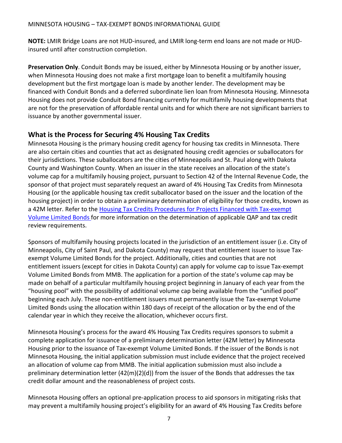**NOTE:** LMIR Bridge Loans are not HUD-insured, and LMIR long-term end loans are not made or HUDinsured until after construction completion.

**Preservation Only**. Conduit Bonds may be issued, either by Minnesota Housing or by another issuer, when Minnesota Housing does not make a first mortgage loan to benefit a multifamily housing development but the first mortgage loan is made by another lender. The development may be financed with Conduit Bonds and a deferred subordinate lien loan from Minnesota Housing. Minnesota Housing does not provide Conduit Bond financing currently for multifamily housing developments that are not for the preservation of affordable rental units and for which there are not significant barriers to issuance by another governmental issuer.

# <span id="page-6-0"></span>**What is the Process for Securing 4% Housing Tax Credits**

Minnesota Housing is the primary housing credit agency for housing tax credits in Minnesota. There are also certain cities and counties that act as designated housing credit agencies or suballocators for their jurisdictions. These suballocators are the cities of Minneapolis and St. Paul along with Dakota County and Washington County. When an issuer in the state receives an allocation of the state's volume cap for a multifamily housing project, pursuant to Section 42 of the Internal Revenue Code, the sponsor of that project must separately request an award of 4% Housing Tax Credits from Minnesota Housing (or the applicable housing tax credit suballocator based on the issuer and the location of the housing project) in order to obtain a preliminary determination of eligibility for those credits, known as a 42M letter. Refer to th[e Housing Tax Credits Procedures for Projects Financed with Tax-exempt](https://www.mnhousing.gov/get/MHFA_006163) [Volume Limited Bonds f](https://www.mnhousing.gov/get/MHFA_006163)or more information on the determination of applicable QAP and tax credit review requirements.

Sponsors of multifamily housing projects located in the jurisdiction of an entitlement issuer (i.e. City of Minneapolis, City of Saint Paul, and Dakota County) may request that entitlement issuer to issue Taxexempt Volume Limited Bonds for the project. Additionally, cities and counties that are not entitlement issuers (except for cities in Dakota County) can apply for volume cap to issue Tax-exempt Volume Limited Bonds from MMB. The application for a portion of the state's volume cap may be made on behalf of a particular multifamily housing project beginning in January of each year from the "housing pool" with the possibility of additional volume cap being available from the "unified pool" beginning each July. These non-entitlement issuers must permanently issue the Tax-exempt Volume Limited Bonds using the allocation within 180 days of receipt of the allocation or by the end of the calendar year in which they receive the allocation, whichever occurs first.

Minnesota Housing's process for the award 4% Housing Tax Credits requires sponsors to submit a complete application for issuance of a preliminary determination letter (42M letter) by Minnesota Housing prior to the issuance of Tax-exempt Volume Limited Bonds. If the issuer of the Bonds is not Minnesota Housing, the initial application submission must include evidence that the project received an allocation of volume cap from MMB. The initial application submission must also include a preliminary determination letter (42(m)(2)(d)) from the issuer of the Bonds that addresses the tax credit dollar amount and the reasonableness of project costs.

Minnesota Housing offers an optional pre-application process to aid sponsors in mitigating risks that may prevent a multifamily housing project's eligibility for an award of 4% Housing Tax Credits before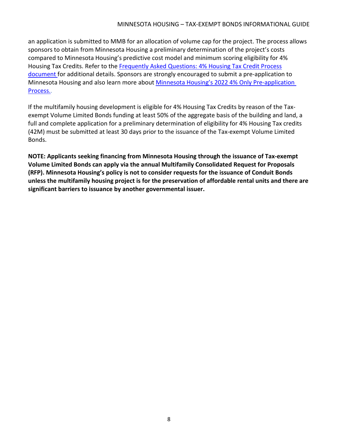an application is submitted to MMB for an allocation of volume cap for the project. The process allows sponsors to obtain from Minnesota Housing a preliminary determination of the project's costs compared to Minnesota Housing's predictive cost model and minimum scoring eligibility for 4% Housing Tax Credits. Refer to the [Frequently Asked Questions: 4% Housing Tax Credit Process](https://www.mnhousing.gov/get/MHFA_1042059) [document f](https://www.mnhousing.gov/get/MHFA_1042059)or additional details. Sponsors are strongly encouraged to submit a pre-application to Minnesota Housing and also learn more about Minnesota Housing's 2022 4% Only Pre-application [Process.](https://www.mnhousing.gov/get/MHFA_1042519).

If the multifamily housing development is eligible for 4% Housing Tax Credits by reason of the Taxexempt Volume Limited Bonds funding at least 50% of the aggregate basis of the building and land, a full and complete application for a preliminary determination of eligibility for 4% Housing Tax credits (42M) must be submitted at least 30 days prior to the issuance of the Tax-exempt Volume Limited Bonds.

**NOTE: Applicants seeking financing from Minnesota Housing through the issuance of Tax-exempt Volume Limited Bonds can apply via the annual Multifamily Consolidated Request for Proposals (RFP). Minnesota Housing's policy is not to consider requests for the issuance of Conduit Bonds unless the multifamily housing project is for the preservation of affordable rental units and there are significant barriers to issuance by another governmental issuer.**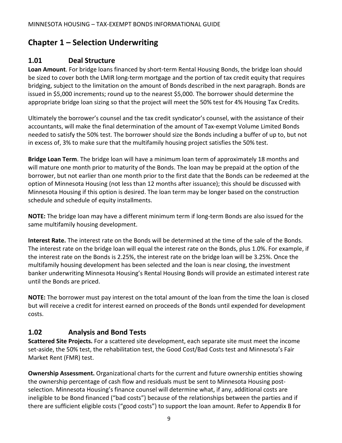# <span id="page-8-0"></span>**Chapter 1 – Selection Underwriting**

# <span id="page-8-1"></span>**1.01 Deal Structure**

**Loan Amount**. For bridge loans financed by short-term Rental Housing Bonds, the bridge loan should be sized to cover both the LMIR long-term mortgage and the portion of tax credit equity that requires bridging, subject to the limitation on the amount of Bonds described in the next paragraph. Bonds are issued in \$5,000 increments; round up to the nearest \$5,000. The borrower should determine the appropriate bridge loan sizing so that the project will meet the 50% test for 4% Housing Tax Credits.

Ultimately the borrower's counsel and the tax credit syndicator's counsel, with the assistance of their accountants, will make the final determination of the amount of Tax-exempt Volume Limited Bonds needed to satisfy the 50% test. The borrower should size the Bonds including a buffer of up to, but not in excess of, 3% to make sure that the multifamily housing project satisfies the 50% test.

**Bridge Loan Term**. The bridge loan will have a minimum loan term of approximately 18 months and will mature one month prior to maturity of the Bonds. The loan may be prepaid at the option of the borrower, but not earlier than one month prior to the first date that the Bonds can be redeemed at the option of Minnesota Housing (not less than 12 months after issuance); this should be discussed with Minnesota Housing if this option is desired. The loan term may be longer based on the construction schedule and schedule of equity installments.

**NOTE:** The bridge loan may have a different minimum term if long-term Bonds are also issued for the same multifamily housing development.

**Interest Rate.** The interest rate on the Bonds will be determined at the time of the sale of the Bonds. The interest rate on the bridge loan will equal the interest rate on the Bonds, plus 1.0%. For example, if the interest rate on the Bonds is 2.25%, the interest rate on the bridge loan will be 3.25%. Once the multifamily housing development has been selected and the loan is near closing, the investment banker underwriting Minnesota Housing's Rental Housing Bonds will provide an estimated interest rate until the Bonds are priced.

**NOTE:** The borrower must pay interest on the total amount of the loan from the time the loan is closed but will receive a credit for interest earned on proceeds of the Bonds until expended for development costs.

# <span id="page-8-2"></span>**1.02 Analysis and Bond Tests**

**Scattered Site Projects.** For a scattered site development, each separate site must meet the income set-aside, the 50% test, the rehabilitation test, the Good Cost/Bad Costs test and Minnesota's Fair Market Rent (FMR) test.

**Ownership Assessment.** Organizational charts for the current and future ownership entities showing the ownership percentage of cash flow and residuals must be sent to Minnesota Housing postselection. Minnesota Housing's finance counsel will determine what, if any, additional costs are ineligible to be Bond financed ("bad costs") because of the relationships between the parties and if there are sufficient eligible costs ("good costs") to support the loan amount. Refer to Appendix B for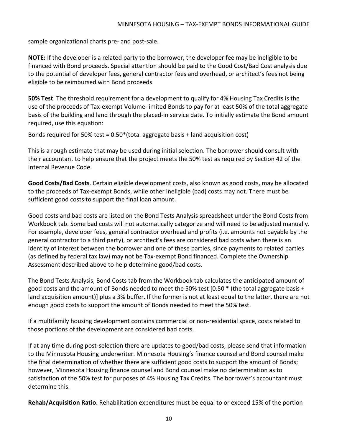sample organizational charts pre- and post-sale.

**NOTE:** If the developer is a related party to the borrower, the developer fee may be ineligible to be financed with Bond proceeds. Special attention should be paid to the Good Cost/Bad Cost analysis due to the potential of developer fees, general contractor fees and overhead, or architect's fees not being eligible to be reimbursed with Bond proceeds.

**50% Test**. The threshold requirement for a development to qualify for 4% Housing Tax Credits is the use of the proceeds of Tax-exempt Volume-limited Bonds to pay for at least 50% of the total aggregate basis of the building and land through the placed-in service date. To initially estimate the Bond amount required, use this equation:

Bonds required for 50% test =  $0.50*(total$  aggregate basis + land acquisition cost)

This is a rough estimate that may be used during initial selection. The borrower should consult with their accountant to help ensure that the project meets the 50% test as required by Section 42 of the Internal Revenue Code.

**Good Costs/Bad Costs**. Certain eligible development costs, also known as good costs, may be allocated to the proceeds of Tax-exempt Bonds, while other ineligible (bad) costs may not. There must be sufficient good costs to support the final loan amount.

Good costs and bad costs are listed on the Bond Tests Analysis spreadsheet under the Bond Costs from Workbook tab. Some bad costs will not automatically categorize and will need to be adjusted manually. For example, developer fees, general contractor overhead and profits (i.e. amounts not payable by the general contractor to a third party), or architect's fees are considered bad costs when there is an identity of interest between the borrower and one of these parties, since payments to related parties (as defined by federal tax law) may not be Tax-exempt Bond financed. Complete the Ownership Assessment described above to help determine good/bad costs.

The Bond Tests Analysis, Bond Costs tab from the Workbook tab calculates the anticipated amount of good costs and the amount of Bonds needed to meet the 50% test  $[0.50 *$  (the total aggregate basis + land acquisition amount)] plus a 3% buffer. If the former is not at least equal to the latter, there are not enough good costs to support the amount of Bonds needed to meet the 50% test.

If a multifamily housing development contains commercial or non-residential space, costs related to those portions of the development are considered bad costs.

If at any time during post-selection there are updates to good/bad costs, please send that information to the Minnesota Housing underwriter. Minnesota Housing's finance counsel and Bond counsel make the final determination of whether there are sufficient good costs to support the amount of Bonds; however, Minnesota Housing finance counsel and Bond counsel make no determination as to satisfaction of the 50% test for purposes of 4% Housing Tax Credits. The borrower's accountant must determine this.

**Rehab/Acquisition Ratio**. Rehabilitation expenditures must be equal to or exceed 15% of the portion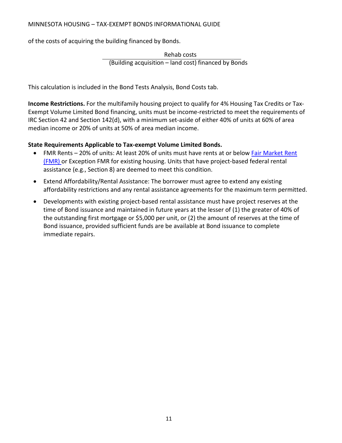#### MINNESOTA HOUSING – TAX-EXEMPT BONDS INFORMATIONAL GUIDE

of the costs of acquiring the building financed by Bonds.

Rehab costs (Building acquisition – land cost) financed by Bonds

This calculation is included in the Bond Tests Analysis, Bond Costs tab.

**Income Restrictions.** For the multifamily housing project to qualify for 4% Housing Tax Credits or Tax-Exempt Volume Limited Bond financing, units must be income-restricted to meet the requirements of IRC Section 42 and Section 142(d), with a minimum set-aside of either 40% of units at 60% of area median income or 20% of units at 50% of area median income.

#### **State Requirements Applicable to Tax-exempt Volume Limited Bonds.**

- FMR Rents 20% of units: At least 20% of units must have rents at or below [Fair Market Rent](http://www.huduser.gov/portal/datasets/fmr.html) [\(FMR\) o](http://www.huduser.gov/portal/datasets/fmr.html)r Exception FMR for existing housing. Units that have project-based federal rental assistance (e.g., Section 8) are deemed to meet this condition.
- Extend Affordability/Rental Assistance: The borrower must agree to extend any existing affordability restrictions and any rental assistance agreements for the maximum term permitted.
- Developments with existing project-based rental assistance must have project reserves at the time of Bond issuance and maintained in future years at the lesser of (1) the greater of 40% of the outstanding first mortgage or \$5,000 per unit, or (2) the amount of reserves at the time of Bond issuance, provided sufficient funds are be available at Bond issuance to complete immediate repairs.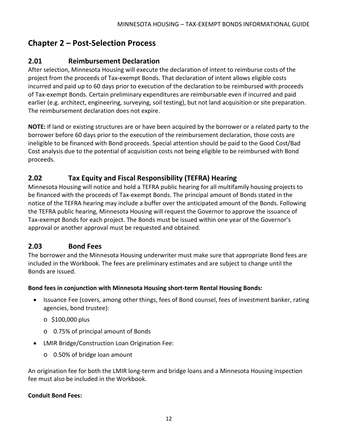# <span id="page-11-0"></span>**Chapter 2 – Post-Selection Process**

# <span id="page-11-1"></span>**2.01 Reimbursement Declaration**

After selection, Minnesota Housing will execute the declaration of intent to reimburse costs of the project from the proceeds of Tax-exempt Bonds. That declaration of intent allows eligible costs incurred and paid up to 60 days prior to execution of the declaration to be reimbursed with proceeds of Tax-exempt Bonds. Certain preliminary expenditures are reimbursable even if incurred and paid earlier (e.g. architect, engineering, surveying, soil testing), but not land acquisition or site preparation. The reimbursement declaration does not expire.

**NOTE:** If land or existing structures are or have been acquired by the borrower or a related party to the borrower before 60 days prior to the execution of the reimbursement declaration, those costs are ineligible to be financed with Bond proceeds. Special attention should be paid to the Good Cost/Bad Cost analysis due to the potential of acquisition costs not being eligible to be reimbursed with Bond proceeds.

# <span id="page-11-2"></span>**2.02 Tax Equity and Fiscal Responsibility (TEFRA) Hearing**

Minnesota Housing will notice and hold a TEFRA public hearing for all multifamily housing projects to be financed with the proceeds of Tax-exempt Bonds. The principal amount of Bonds stated in the notice of the TEFRA hearing may include a buffer over the anticipated amount of the Bonds. Following the TEFRA public hearing, Minnesota Housing will request the Governor to approve the issuance of Tax-exempt Bonds for each project. The Bonds must be issued within one year of the Governor's approval or another approval must be requested and obtained.

## <span id="page-11-3"></span>**2.03 Bond Fees**

The borrower and the Minnesota Housing underwriter must make sure that appropriate Bond fees are included in the Workbook. The fees are preliminary estimates and are subject to change until the Bonds are issued.

#### **Bond fees in conjunction with Minnesota Housing short-term Rental Housing Bonds:**

- Issuance Fee (covers, among other things, fees of Bond counsel, fees of investment banker, rating agencies, bond trustee):
	- o \$100,000 plus
	- o 0.75% of principal amount of Bonds
- LMIR Bridge/Construction Loan Origination Fee:
	- o 0.50% of bridge loan amount

An origination fee for both the LMIR long-term and bridge loans and a Minnesota Housing inspection fee must also be included in the Workbook.

#### **Conduit Bond Fees:**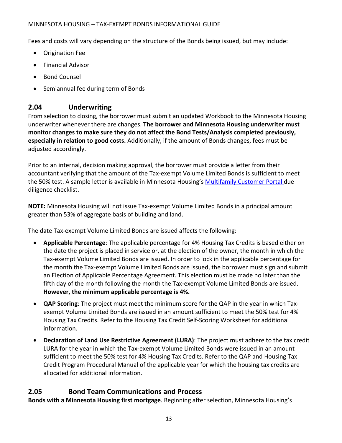#### MINNESOTA HOUSING – TAX-EXEMPT BONDS INFORMATIONAL GUIDE

Fees and costs will vary depending on the structure of the Bonds being issued, but may include:

- Origination Fee
- Financial Advisor
- Bond Counsel
- Semiannual fee during term of Bonds

# <span id="page-12-0"></span>**2.04 Underwriting**

From selection to closing, the borrower must submit an updated Workbook to the Minnesota Housing underwriter whenever there are changes. **The borrower and Minnesota Housing underwriter must monitor changes to make sure they do not affect the Bond Tests/Analysis completed previously, especially in relation to good costs.** Additionally, if the amount of Bonds changes, fees must be adjusted accordingly.

Prior to an internal, decision making approval, the borrower must provide a letter from their accountant verifying that the amount of the Tax-exempt Volume Limited Bonds is sufficient to meet the 50% test. A sample letter is available in Minnesota Housing's [Multifamily Customer Portal d](https://www.mnhousing.gov/sites/multifamily/portal)ue diligence checklist.

**NOTE:** Minnesota Housing will not issue Tax-exempt Volume Limited Bonds in a principal amount greater than 53% of aggregate basis of building and land.

The date Tax-exempt Volume Limited Bonds are issued affects the following:

- **Applicable Percentage**: The applicable percentage for 4% Housing Tax Credits is based either on the date the project is placed in service or, at the election of the owner, the month in which the Tax-exempt Volume Limited Bonds are issued. In order to lock in the applicable percentage for the month the Tax-exempt Volume Limited Bonds are issued, the borrower must sign and submit an Election of Applicable Percentage Agreement. This election must be made no later than the fifth day of the month following the month the Tax-exempt Volume Limited Bonds are issued. **However, the minimum applicable percentage is 4%.**
- **QAP Scoring**: The project must meet the minimum score for the QAP in the year in which Taxexempt Volume Limited Bonds are issued in an amount sufficient to meet the 50% test for 4% Housing Tax Credits. Refer to the Housing Tax Credit Self-Scoring Worksheet for additional information.
- **Declaration of Land Use Restrictive Agreement (LURA)**: The project must adhere to the tax credit LURA for the year in which the Tax-exempt Volume Limited Bonds were issued in an amount sufficient to meet the 50% test for 4% Housing Tax Credits. Refer to the QAP and Housing Tax Credit Program Procedural Manual of the applicable year for which the housing tax credits are allocated for additional information.

# <span id="page-12-1"></span>**2.05 Bond Team Communications and Process**

**Bonds with a Minnesota Housing first mortgage**. Beginning after selection, Minnesota Housing's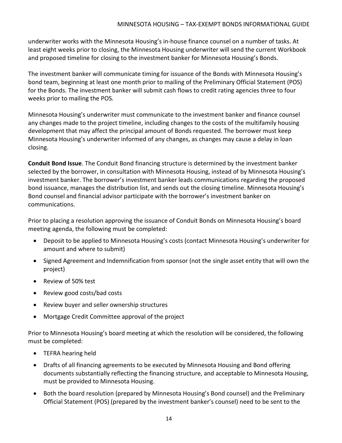underwriter works with the Minnesota Housing's in-house finance counsel on a number of tasks. At least eight weeks prior to closing, the Minnesota Housing underwriter will send the current Workbook and proposed timeline for closing to the investment banker for Minnesota Housing's Bonds.

The investment banker will communicate timing for issuance of the Bonds with Minnesota Housing's bond team, beginning at least one month prior to mailing of the Preliminary Official Statement (POS) for the Bonds. The investment banker will submit cash flows to credit rating agencies three to four weeks prior to mailing the POS*.*

Minnesota Housing's underwriter must communicate to the investment banker and finance counsel any changes made to the project timeline, including changes to the costs of the multifamily housing development that may affect the principal amount of Bonds requested. The borrower must keep Minnesota Housing's underwriter informed of any changes, as changes may cause a delay in loan closing.

**Conduit Bond Issue**. The Conduit Bond financing structure is determined by the investment banker selected by the borrower, in consultation with Minnesota Housing, instead of by Minnesota Housing's investment banker. The borrower's investment banker leads communications regarding the proposed bond issuance, manages the distribution list, and sends out the closing timeline. Minnesota Housing's Bond counsel and financial advisor participate with the borrower's investment banker on communications.

Prior to placing a resolution approving the issuance of Conduit Bonds on Minnesota Housing's board meeting agenda, the following must be completed:

- Deposit to be applied to Minnesota Housing's costs (contact Minnesota Housing's underwriter for amount and where to submit)
- Signed Agreement and Indemnification from sponsor (not the single asset entity that will own the project)
- Review of 50% test
- Review good costs/bad costs
- Review buyer and seller ownership structures
- Mortgage Credit Committee approval of the project

Prior to Minnesota Housing's board meeting at which the resolution will be considered, the following must be completed:

- TEFRA hearing held
- Drafts of all financing agreements to be executed by Minnesota Housing and Bond offering documents substantially reflecting the financing structure, and acceptable to Minnesota Housing, must be provided to Minnesota Housing.
- Both the board resolution (prepared by Minnesota Housing's Bond counsel) and the Preliminary Official Statement (POS) (prepared by the investment banker's counsel) need to be sent to the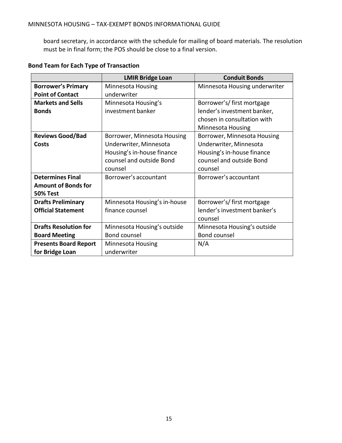board secretary, in accordance with the schedule for mailing of board materials. The resolution must be in final form; the POS should be close to a final version.

|                              | <b>LMIR Bridge Loan</b>      | <b>Conduit Bonds</b>          |
|------------------------------|------------------------------|-------------------------------|
| <b>Borrower's Primary</b>    | Minnesota Housing            | Minnesota Housing underwriter |
| <b>Point of Contact</b>      | underwriter                  |                               |
| <b>Markets and Sells</b>     | Minnesota Housing's          | Borrower's/first mortgage     |
| <b>Bonds</b>                 | investment banker            | lender's investment banker,   |
|                              |                              | chosen in consultation with   |
|                              |                              | Minnesota Housing             |
| <b>Reviews Good/Bad</b>      | Borrower, Minnesota Housing  | Borrower, Minnesota Housing   |
| Costs                        | Underwriter, Minnesota       | Underwriter, Minnesota        |
|                              | Housing's in-house finance   | Housing's in-house finance    |
|                              | counsel and outside Bond     | counsel and outside Bond      |
|                              | counsel                      | counsel                       |
| <b>Determines Final</b>      | Borrower's accountant        | Borrower's accountant         |
| <b>Amount of Bonds for</b>   |                              |                               |
| <b>50% Test</b>              |                              |                               |
| <b>Drafts Preliminary</b>    | Minnesota Housing's in-house | Borrower's/first mortgage     |
| <b>Official Statement</b>    | finance counsel              | lender's investment banker's  |
|                              |                              | counsel                       |
| <b>Drafts Resolution for</b> | Minnesota Housing's outside  | Minnesota Housing's outside   |
| <b>Board Meeting</b>         | <b>Bond counsel</b>          | <b>Bond counsel</b>           |
| <b>Presents Board Report</b> | Minnesota Housing            | N/A                           |
| for Bridge Loan              | underwriter                  |                               |

# **Bond Team for Each Type of Transaction**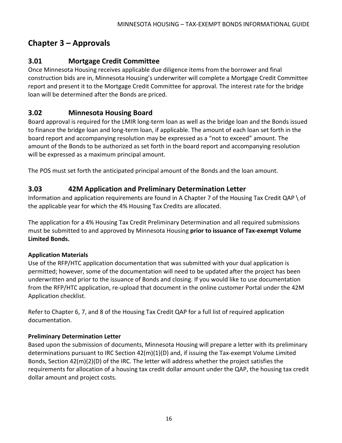# <span id="page-15-0"></span>**Chapter 3 – Approvals**

# <span id="page-15-1"></span>**3.01 Mortgage Credit Committee**

Once Minnesota Housing receives applicable due diligence items from the borrower and final construction bids are in, Minnesota Housing's underwriter will complete a Mortgage Credit Committee report and present it to the Mortgage Credit Committee for approval. The interest rate for the bridge loan will be determined after the Bonds are priced.

# <span id="page-15-2"></span>**3.02 Minnesota Housing Board**

Board approval is required for the LMIR long-term loan as well as the bridge loan and the Bonds issued to finance the bridge loan and long-term loan, if applicable. The amount of each loan set forth in the board report and accompanying resolution may be expressed as a "not to exceed" amount. The amount of the Bonds to be authorized as set forth in the board report and accompanying resolution will be expressed as a maximum principal amount.

The POS must set forth the anticipated principal amount of the Bonds and the loan amount.

# <span id="page-15-3"></span>**3.03 42M Application and Preliminary Determination Letter**

Information and application requirements are found in A Chapter 7 of the Housing Tax Credit QAP \ of the applicable year for which the 4% Housing Tax Credits are allocated.

The application for a 4% Housing Tax Credit Preliminary Determination and all required submissions must be submitted to and approved by Minnesota Housing **prior to issuance of Tax-exempt Volume Limited Bonds.**

#### **Application Materials**

Use of the RFP/HTC application documentation that was submitted with your dual application is permitted; however, some of the documentation will need to be updated after the project has been underwritten and prior to the issuance of Bonds and closing. If you would like to use documentation from the RFP/HTC application, re-upload that document in the online customer Portal under the 42M Application checklist.

Refer to Chapter 6, 7, and 8 of the Housing Tax Credit QAP for a full list of required application documentation.

#### **Preliminary Determination Letter**

Based upon the submission of documents, Minnesota Housing will prepare a letter with its preliminary determinations pursuant to IRC Section 42(m)(1)(D) and, if issuing the Tax-exempt Volume Limited Bonds, Section 42(m)(2)(D) of the IRC. The letter will address whether the project satisfies the requirements for allocation of a housing tax credit dollar amount under the QAP, the housing tax credit dollar amount and project costs.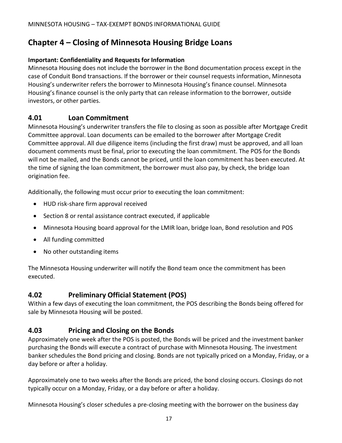# <span id="page-16-0"></span>**Chapter 4 – Closing of Minnesota Housing Bridge Loans**

#### **Important: Confidentiality and Requests for Information**

Minnesota Housing does not include the borrower in the Bond documentation process except in the case of Conduit Bond transactions. If the borrower or their counsel requests information, Minnesota Housing's underwriter refers the borrower to Minnesota Housing's finance counsel. Minnesota Housing's finance counsel is the only party that can release information to the borrower, outside investors, or other parties.

### <span id="page-16-1"></span>**4.01 Loan Commitment**

Minnesota Housing's underwriter transfers the file to closing as soon as possible after Mortgage Credit Committee approval. Loan documents can be emailed to the borrower after Mortgage Credit Committee approval. All due diligence items (including the first draw) must be approved, and all loan document comments must be final, prior to executing the loan commitment. The POS for the Bonds will not be mailed, and the Bonds cannot be priced, until the loan commitment has been executed. At the time of signing the loan commitment, the borrower must also pay, by check, the bridge loan origination fee.

Additionally, the following must occur prior to executing the loan commitment:

- HUD risk-share firm approval received
- Section 8 or rental assistance contract executed, if applicable
- Minnesota Housing board approval for the LMIR loan, bridge loan, Bond resolution and POS
- All funding committed
- No other outstanding items

The Minnesota Housing underwriter will notify the Bond team once the commitment has been executed.

## <span id="page-16-2"></span>**4.02 Preliminary Official Statement (POS)**

Within a few days of executing the loan commitment, the POS describing the Bonds being offered for sale by Minnesota Housing will be posted.

## <span id="page-16-3"></span>**4.03 Pricing and Closing on the Bonds**

Approximately one week after the POS is posted, the Bonds will be priced and the investment banker purchasing the Bonds will execute a contract of purchase with Minnesota Housing. The investment banker schedules the Bond pricing and closing. Bonds are not typically priced on a Monday, Friday, or a day before or after a holiday.

Approximately one to two weeks after the Bonds are priced, the bond closing occurs. Closings do not typically occur on a Monday, Friday, or a day before or after a holiday.

Minnesota Housing's closer schedules a pre-closing meeting with the borrower on the business day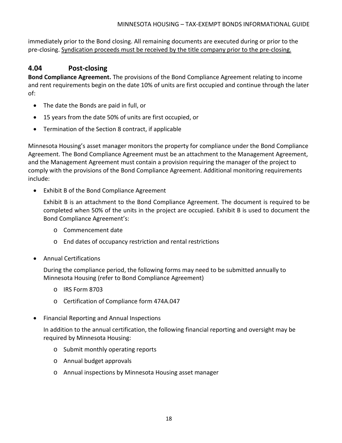immediately prior to the Bond closing. All remaining documents are executed during or prior to the pre-closing. Syndication proceeds must be received by the title company prior to the pre-closing.

## <span id="page-17-0"></span>**4.04 Post-closing**

**Bond Compliance Agreement.** The provisions of the Bond Compliance Agreement relating to income and rent requirements begin on the date 10% of units are first occupied and continue through the later of:

- The date the Bonds are paid in full, or
- 15 years from the date 50% of units are first occupied, or
- Termination of the Section 8 contract, if applicable

Minnesota Housing's asset manager monitors the property for compliance under the Bond Compliance Agreement. The Bond Compliance Agreement must be an attachment to the Management Agreement, and the Management Agreement must contain a provision requiring the manager of the project to comply with the provisions of the Bond Compliance Agreement. Additional monitoring requirements include:

• Exhibit B of the Bond Compliance Agreement

Exhibit B is an attachment to the Bond Compliance Agreement. The document is required to be completed when 50% of the units in the project are occupied. Exhibit B is used to document the Bond Compliance Agreement's:

- o Commencement date
- o End dates of occupancy restriction and rental restrictions
- Annual Certifications

During the compliance period, the following forms may need to be submitted annually to Minnesota Housing (refer to Bond Compliance Agreement)

- o IRS Form 8703
- o Certification of Compliance form 474A.047
- Financial Reporting and Annual Inspections

In addition to the annual certification, the following financial reporting and oversight may be required by Minnesota Housing:

- o Submit monthly operating reports
- o Annual budget approvals
- o Annual inspections by Minnesota Housing asset manager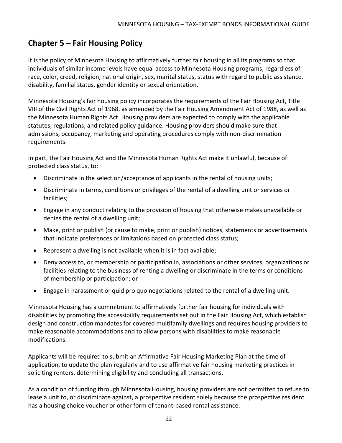# <span id="page-19-0"></span>**Chapter 5 – Fair Housing Policy**

It is the policy of Minnesota Housing to affirmatively further fair housing in all its programs so that individuals of similar income levels have equal access to Minnesota Housing programs, regardless of race, color, creed, religion, national origin, sex, marital status, status with regard to public assistance, disability, familial status, gender identity or sexual orientation.

Minnesota Housing's fair housing policy incorporates the requirements of the Fair Housing Act, Title VIII of the Civil Rights Act of 1968, as amended by the Fair Housing Amendment Act of 1988, as well as the Minnesota Human Rights Act. Housing providers are expected to comply with the applicable statutes, regulations, and related policy guidance. Housing providers should make sure that admissions, occupancy, marketing and operating procedures comply with non-discrimination requirements.

In part, the Fair Housing Act and the Minnesota Human Rights Act make it unlawful, because of protected class status, to:

- Discriminate in the selection/acceptance of applicants in the rental of housing units;
- Discriminate in terms, conditions or privileges of the rental of a dwelling unit or services or facilities;
- Engage in any conduct relating to the provision of housing that otherwise makes unavailable or denies the rental of a dwelling unit;
- Make, print or publish (or cause to make, print or publish) notices, statements or advertisements that indicate preferences or limitations based on protected class status;
- Represent a dwelling is not available when it is in fact available;
- Deny access to, or membership or participation in, associations or other services, organizations or facilities relating to the business of renting a dwelling or discriminate in the terms or conditions of membership or participation; or
- Engage in harassment or quid pro quo negotiations related to the rental of a dwelling unit.

Minnesota Housing has a commitment to affirmatively further fair housing for individuals with disabilities by promoting the accessibility requirements set out in the Fair Housing Act, which establish design and construction mandates for covered multifamily dwellings and requires housing providers to make reasonable accommodations and to allow persons with disabilities to make reasonable modifications.

Applicants will be required to submit an Affirmative Fair Housing Marketing Plan at the time of application, to update the plan regularly and to use affirmative fair housing marketing practices in soliciting renters, determining eligibility and concluding all transactions.

As a condition of funding through Minnesota Housing, housing providers are not permitted to refuse to lease a unit to, or discriminate against, a prospective resident solely because the prospective resident has a housing choice voucher or other form of tenant-based rental assistance.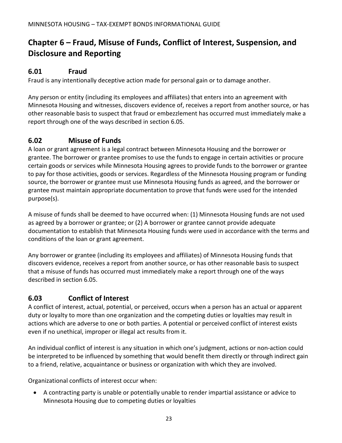# <span id="page-20-0"></span>**Chapter 6 – Fraud, Misuse of Funds, Conflict of Interest, Suspension, and Disclosure and Reporting**

# <span id="page-20-1"></span>**6.01 Fraud**

Fraud is any intentionally deceptive action made for personal gain or to damage another.

Any person or entity (including its employees and affiliates) that enters into an agreement with Minnesota Housing and witnesses, discovers evidence of, receives a report from another source, or has other reasonable basis to suspect that fraud or embezzlement has occurred must immediately make a report through one of the ways described in section 6.05.

## <span id="page-20-2"></span>**6.02 Misuse of Funds**

A loan or grant agreement is a legal contract between Minnesota Housing and the borrower or grantee. The borrower or grantee promises to use the funds to engage in certain activities or procure certain goods or services while Minnesota Housing agrees to provide funds to the borrower or grantee to pay for those activities, goods or services. Regardless of the Minnesota Housing program or funding source, the borrower or grantee must use Minnesota Housing funds as agreed, and the borrower or grantee must maintain appropriate documentation to prove that funds were used for the intended purpose(s).

A misuse of funds shall be deemed to have occurred when: (1) Minnesota Housing funds are not used as agreed by a borrower or grantee; or (2) A borrower or grantee cannot provide adequate documentation to establish that Minnesota Housing funds were used in accordance with the terms and conditions of the loan or grant agreement.

Any borrower or grantee (including its employees and affiliates) of Minnesota Housing funds that discovers evidence, receives a report from another source, or has other reasonable basis to suspect that a misuse of funds has occurred must immediately make a report through one of the ways described in section 6.05.

## <span id="page-20-3"></span>**6.03 Conflict of Interest**

A conflict of interest, actual, potential, or perceived, occurs when a person has an actual or apparent duty or loyalty to more than one organization and the competing duties or loyalties may result in actions which are adverse to one or both parties. A potential or perceived conflict of interest exists even if no unethical, improper or illegal act results from it.

An individual conflict of interest is any situation in which one's judgment, actions or non-action could be interpreted to be influenced by something that would benefit them directly or through indirect gain to a friend, relative, acquaintance or business or organization with which they are involved.

Organizational conflicts of interest occur when:

• A contracting party is unable or potentially unable to render impartial assistance or advice to Minnesota Housing due to competing duties or loyalties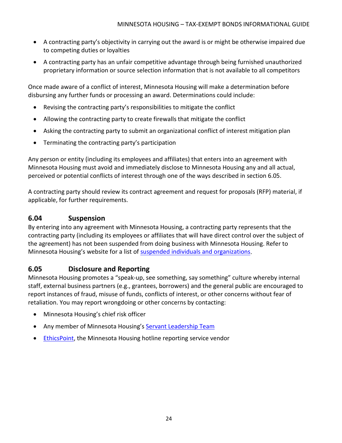- A contracting party's objectivity in carrying out the award is or might be otherwise impaired due to competing duties or loyalties
- A contracting party has an unfair competitive advantage through being furnished unauthorized proprietary information or source selection information that is not available to all competitors

Once made aware of a conflict of interest, Minnesota Housing will make a determination before disbursing any further funds or processing an award. Determinations could include:

- Revising the contracting party's responsibilities to mitigate the conflict
- Allowing the contracting party to create firewalls that mitigate the conflict
- Asking the contracting party to submit an organizational conflict of interest mitigation plan
- Terminating the contracting party's participation

Any person or entity (including its employees and affiliates) that enters into an agreement with Minnesota Housing must avoid and immediately disclose to Minnesota Housing any and all actual, perceived or potential conflicts of interest through one of the ways described in section 6.05.

A contracting party should review its contract agreement and request for proposals (RFP) material, if applicable, for further requirements.

### <span id="page-21-0"></span>**6.04 Suspension**

By entering into any agreement with Minnesota Housing, a contracting party represents that the contracting party (including its employees or affiliates that will have direct control over the subject of the agreement) has not been suspended from doing business with Minnesota Housing. Refer to Minnesota Housing's website for a list of [suspended individuals and organizations.](https://www.mnhousing.gov/sites/np/suspensions)

## <span id="page-21-1"></span>**6.05 Disclosure and Reporting**

Minnesota Housing promotes a "speak-up, see something, say something" culture whereby internal staff, external business partners (e.g., grantees, borrowers) and the general public are encouraged to report instances of fraud, misuse of funds, conflicts of interest, or other concerns without fear of retaliation. You may report wrongdoing or other concerns by contacting:

- Minnesota Housing's chief risk officer
- Any member of Minnesota Housing's [Servant Leadership Team](https://www.mnhousing.gov/sites/np/leadership)
- [EthicsPoint,](https://secure.ethicspoint.com/domain/media/en/gui/30639/index.html) the Minnesota Housing hotline reporting service vendor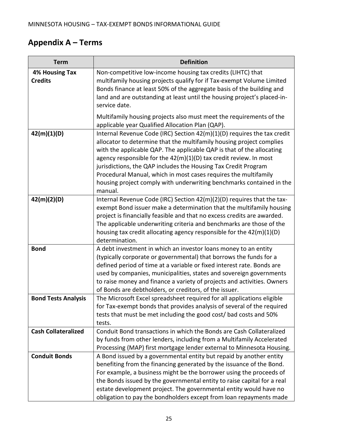# <span id="page-22-0"></span>**Appendix A – Terms**

| <b>Term</b>                             | <b>Definition</b>                                                                                                                                                                                                                                                                                                                                                                                                                                                                                                       |
|-----------------------------------------|-------------------------------------------------------------------------------------------------------------------------------------------------------------------------------------------------------------------------------------------------------------------------------------------------------------------------------------------------------------------------------------------------------------------------------------------------------------------------------------------------------------------------|
| <b>4% Housing Tax</b><br><b>Credits</b> | Non-competitive low-income housing tax credits (LIHTC) that<br>multifamily housing projects qualify for if Tax-exempt Volume Limited<br>Bonds finance at least 50% of the aggregate basis of the building and<br>land and are outstanding at least until the housing project's placed-in-<br>service date.                                                                                                                                                                                                              |
|                                         | Multifamily housing projects also must meet the requirements of the<br>applicable year Qualified Allocation Plan (QAP).                                                                                                                                                                                                                                                                                                                                                                                                 |
| 42(m)(1)(D)                             | Internal Revenue Code (IRC) Section 42(m)(1)(D) requires the tax credit<br>allocator to determine that the multifamily housing project complies<br>with the applicable QAP. The applicable QAP is that of the allocating<br>agency responsible for the $42(m)(1)(D)$ tax credit review. In most<br>jurisdictions, the QAP includes the Housing Tax Credit Program<br>Procedural Manual, which in most cases requires the multifamily<br>housing project comply with underwriting benchmarks contained in the<br>manual. |
| 42(m)(2)(D)                             | Internal Revenue Code (IRC) Section 42(m)(2)(D) requires that the tax-<br>exempt Bond issuer make a determination that the multifamily housing<br>project is financially feasible and that no excess credits are awarded.<br>The applicable underwriting criteria and benchmarks are those of the<br>housing tax credit allocating agency responsible for the $42(m)(1)(D)$<br>determination.                                                                                                                           |
| <b>Bond</b>                             | A debt investment in which an investor loans money to an entity<br>(typically corporate or governmental) that borrows the funds for a<br>defined period of time at a variable or fixed interest rate. Bonds are<br>used by companies, municipalities, states and sovereign governments<br>to raise money and finance a variety of projects and activities. Owners<br>of Bonds are debtholders, or creditors, of the issuer.                                                                                             |
| <b>Bond Tests Analysis</b>              | The Microsoft Excel spreadsheet required for all applications eligible<br>for Tax-exempt bonds that provides analysis of several of the required<br>tests that must be met including the good cost/ bad costs and 50%<br>tests.                                                                                                                                                                                                                                                                                         |
| <b>Cash Collateralized</b>              | Conduit Bond transactions in which the Bonds are Cash Collateralized<br>by funds from other lenders, including from a Multifamily Accelerated<br>Processing (MAP) first mortgage lender external to Minnesota Housing.                                                                                                                                                                                                                                                                                                  |
| <b>Conduit Bonds</b>                    | A Bond issued by a governmental entity but repaid by another entity<br>benefiting from the financing generated by the issuance of the Bond.<br>For example, a business might be the borrower using the proceeds of<br>the Bonds issued by the governmental entity to raise capital for a real<br>estate development project. The governmental entity would have no<br>obligation to pay the bondholders except from loan repayments made                                                                                |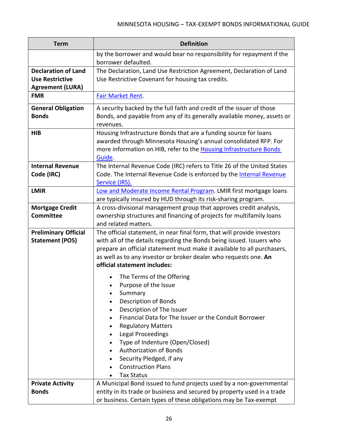| <b>Term</b>                                                                     | <b>Definition</b>                                                                                                                                                                                                                                                                                                                                                                          |
|---------------------------------------------------------------------------------|--------------------------------------------------------------------------------------------------------------------------------------------------------------------------------------------------------------------------------------------------------------------------------------------------------------------------------------------------------------------------------------------|
|                                                                                 | by the borrower and would bear no responsibility for repayment if the<br>borrower defaulted.                                                                                                                                                                                                                                                                                               |
| <b>Declaration of Land</b><br><b>Use Restrictive</b><br><b>Agreement (LURA)</b> | The Declaration, Land Use Restriction Agreement, Declaration of Land<br>Use Restrictive Covenant for housing tax credits.                                                                                                                                                                                                                                                                  |
| <b>FMR</b>                                                                      | Fair Market Rent.                                                                                                                                                                                                                                                                                                                                                                          |
| <b>General Obligation</b><br><b>Bonds</b>                                       | A security backed by the full faith and credit of the issuer of those<br>Bonds, and payable from any of its generally available money, assets or<br>revenues.                                                                                                                                                                                                                              |
| <b>HIB</b>                                                                      | Housing Infrastructure Bonds that are a funding source for loans<br>awarded through Minnesota Housing's annual consolidated RFP. For<br>more information on HIB, refer to the Housing Infrastructure Bonds<br>Guide.                                                                                                                                                                       |
| <b>Internal Revenue</b><br>Code (IRC)                                           | The Internal Revenue Code (IRC) refers to Title 26 of the United States<br>Code. The Internal Revenue Code is enforced by the Internal Revenue<br>Service (IRS).                                                                                                                                                                                                                           |
| <b>LMIR</b>                                                                     | Low and Moderate Income Rental Program. LMIR first mortgage loans<br>are typically insured by HUD through its risk-sharing program.                                                                                                                                                                                                                                                        |
| <b>Mortgage Credit</b><br><b>Committee</b>                                      | A cross-divisional management group that approves credit analysis,<br>ownership structures and financing of projects for multifamily loans<br>and related matters.                                                                                                                                                                                                                         |
| <b>Preliminary Official</b><br><b>Statement (POS)</b>                           | The official statement, in near final form, that will provide investors<br>with all of the details regarding the Bonds being issued. Issuers who<br>prepare an official statement must make it available to all purchasers,<br>as well as to any investor or broker dealer who requests one. An<br>official statement includes:<br>The Terms of the Offering                               |
|                                                                                 | Purpose of the Issue<br>$\bullet$<br>Summary<br>Description of Bonds<br>Description of The Issuer<br>$\bullet$<br>Financial Data for The Issuer or the Conduit Borrower<br>٠<br><b>Regulatory Matters</b><br>٠<br>Legal Proceedings<br>Type of Indenture (Open/Closed)<br><b>Authorization of Bonds</b><br>Security Pledged, if any<br>٠<br><b>Construction Plans</b><br><b>Tax Status</b> |
| <b>Private Activity</b><br><b>Bonds</b>                                         | A Municipal Bond issued to fund projects used by a non-governmental<br>entity in its trade or business and secured by property used in a trade<br>or business. Certain types of these obligations may be Tax-exempt                                                                                                                                                                        |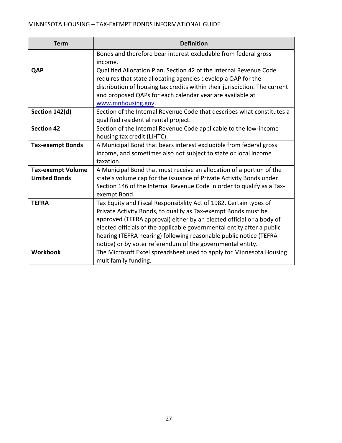| <b>Term</b>              | <b>Definition</b>                                                          |
|--------------------------|----------------------------------------------------------------------------|
|                          | Bonds and therefore bear interest excludable from federal gross            |
|                          | income.                                                                    |
| QAP                      | Qualified Allocation Plan. Section 42 of the Internal Revenue Code         |
|                          | requires that state allocating agencies develop a QAP for the              |
|                          | distribution of housing tax credits within their jurisdiction. The current |
|                          | and proposed QAPs for each calendar year are available at                  |
|                          | www.mnhousing.gov.                                                         |
| Section 142(d)           | Section of the Internal Revenue Code that describes what constitutes a     |
|                          | qualified residential rental project.                                      |
| <b>Section 42</b>        | Section of the Internal Revenue Code applicable to the low-income          |
|                          | housing tax credit (LIHTC).                                                |
| <b>Tax-exempt Bonds</b>  | A Municipal Bond that bears interest excludible from federal gross         |
|                          | income, and sometimes also not subject to state or local income            |
|                          | taxation.                                                                  |
| <b>Tax-exempt Volume</b> | A Municipal Bond that must receive an allocation of a portion of the       |
| <b>Limited Bonds</b>     | state's volume cap for the issuance of Private Activity Bonds under        |
|                          | Section 146 of the Internal Revenue Code in order to qualify as a Tax-     |
|                          | exempt Bond.                                                               |
| <b>TEFRA</b>             | Tax Equity and Fiscal Responsibility Act of 1982. Certain types of         |
|                          | Private Activity Bonds, to qualify as Tax-exempt Bonds must be             |
|                          | approved (TEFRA approval) either by an elected official or a body of       |
|                          | elected officials of the applicable governmental entity after a public     |
|                          | hearing (TEFRA hearing) following reasonable public notice (TEFRA          |
|                          | notice) or by voter referendum of the governmental entity.                 |
| <b>Workbook</b>          | The Microsoft Excel spreadsheet used to apply for Minnesota Housing        |
|                          | multifamily funding.                                                       |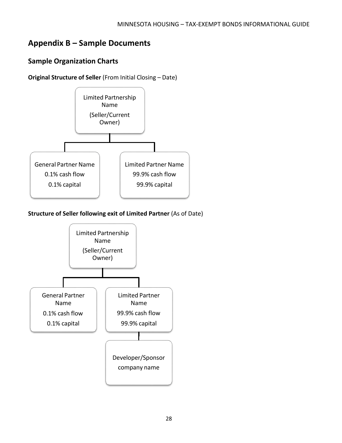# <span id="page-25-0"></span>**Appendix B – Sample Documents**

# <span id="page-25-1"></span>**Sample Organization Charts**

**Original Structure of Seller** (From Initial Closing – Date)



**Structure of Seller following exit of Limited Partner** (As of Date)